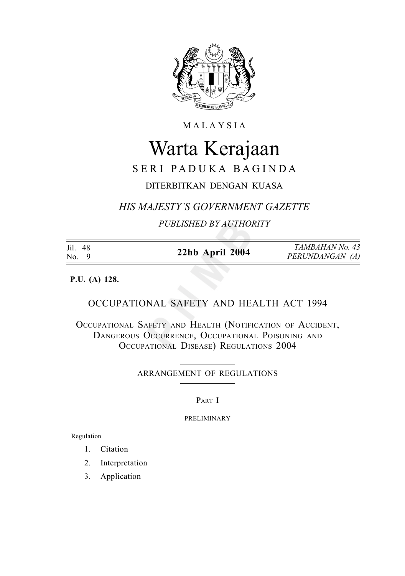

**MALAYSIA** 

# Warta Kerajaan

# SERI PADUKA BAGINDA

# DITERBITKAN DENGAN KUASA

*HIS MAJESTY'S GOVERNMENT GAZETTE*

*PUBLISHED BY AUTHORITY*

| Jil. 48<br>No. 9 | 22hb April 2004 | TAMBAHAN No. 43<br>PERUNDANGAN (A) |
|------------------|-----------------|------------------------------------|
|                  |                 |                                    |

**P.U. (A) 128.**

## OCCUPATIONAL SAFETY AND HEALTH ACT 1994

OCCUPATIONAL SAFETY AND HEALTH (NOTIFICATION OF ACCIDENT, DANGEROUS OCCURRENCE, OCCUPATIONAL POISONING AND OCCUPATIONAL DISEASE) REGULATIONS 2004

ARRANGEMENT OF REGULATIONS

PART I

PRELIMINARY

Regulation

- 1. Citation
- 2. Interpretation
- 3. Application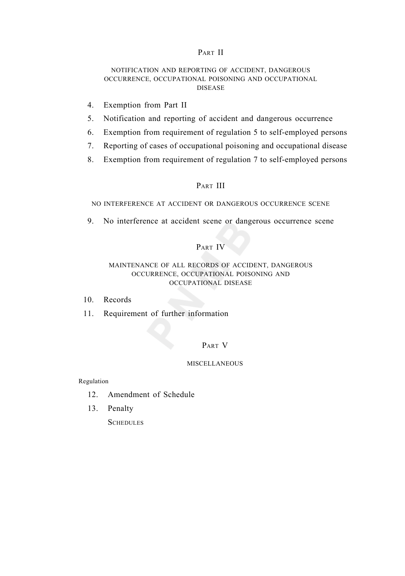## PART II

## NOTIFICATION AND REPORTING OF ACCIDENT, DANGEROUS OCCURRENCE, OCCUPATIONAL POISONING AND OCCUPATIONAL DISEASE

- 4. Exemption from Part II
- 5. Notification and reporting of accident and dangerous occurrence
- 6. Exemption from requirement of regulation 5 to self-employed persons
- 7. Reporting of cases of occupational poisoning and occupational disease
- 8. Exemption from requirement of regulation 7 to self-employed persons

## PART III

NO INTERFERENCE AT ACCIDENT OR DANGEROUS OCCURRENCE SCENE

9. No interference at accident scene or dangerous occurrence scene

## PART IV

## MAINTENANCE OF ALL RECORDS OF ACCIDENT, DANGEROUS OCCURRENCE, OCCUPATIONAL POISONING AND OCCUPATIONAL DISEASE

- 10. Records
- 11. Requirement of further information

## PART V

## **MISCELLANEOUS**

Regulation

- 12. Amendment of Schedule
- 13. Penalty

**SCHEDULES**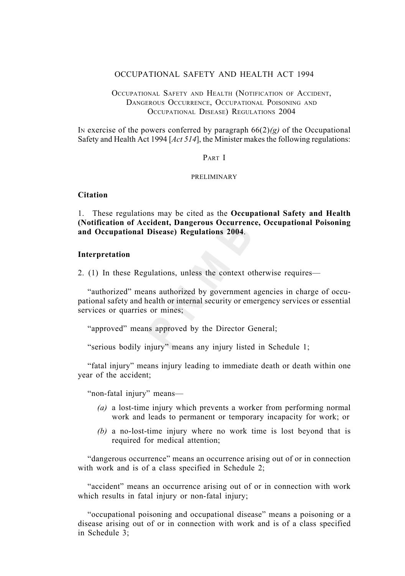## OCCUPATIONAL SAFETY AND HEALTH ACT 1994

## OCCUPATIONAL SAFETY AND HEALTH (NOTIFICATION OF ACCIDENT, DANGEROUS OCCURRENCE, OCCUPATIONAL POISONING AND OCCUPATIONAL DISEASE) REGULATIONS 2004

In exercise of the powers conferred by paragraph  $66(2)(g)$  of the Occupational Safety and Health Act 1994 [*Act 514*], the Minister makes the following regulations:

## PART I

## PRELIMINARY

## **Citation**

1. These regulations may be cited as the **Occupational Safety and Health (Notification of Accident, Dangerous Occurrence, Occupational Poisoning and Occupational Disease) Regulations 2004**.

## **Interpretation**

2. (1) In these Regulations, unless the context otherwise requires—

"authorized" means authorized by government agencies in charge of occupational safety and health or internal security or emergency services or essential services or quarries or mines;

"approved" means approved by the Director General;

"serious bodily injury" means any injury listed in Schedule 1;

"fatal injury" means injury leading to immediate death or death within one year of the accident;

"non-fatal injury" means—

- *(a)* a lost-time injury which prevents a worker from performing normal work and leads to permanent or temporary incapacity for work; or
- *(b)* a no-lost-time injury where no work time is lost beyond that is required for medical attention;

"dangerous occurrence" means an occurrence arising out of or in connection with work and is of a class specified in Schedule 2;

"accident" means an occurrence arising out of or in connection with work which results in fatal injury or non-fatal injury;

"occupational poisoning and occupational disease" means a poisoning or a disease arising out of or in connection with work and is of a class specified in Schedule 3;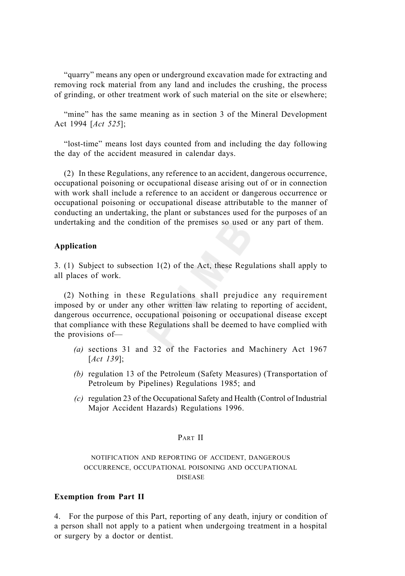"quarry" means any open or underground excavation made for extracting and removing rock material from any land and includes the crushing, the process of grinding, or other treatment work of such material on the site or elsewhere;

"mine" has the same meaning as in section 3 of the Mineral Development Act 1994 [*Act 525*];

"lost-time" means lost days counted from and including the day following the day of the accident measured in calendar days.

(2) In these Regulations, any reference to an accident, dangerous occurrence, occupational poisoning or occupational disease arising out of or in connection with work shall include a reference to an accident or dangerous occurrence or occupational poisoning or occupational disease attributable to the manner of conducting an undertaking, the plant or substances used for the purposes of an undertaking and the condition of the premises so used or any part of them.

## **Application**

3. (1) Subject to subsection 1(2) of the Act, these Regulations shall apply to all places of work.

(2) Nothing in these Regulations shall prejudice any requirement imposed by or under any other written law relating to reporting of accident, dangerous occurrence, occupational poisoning or occupational disease except that compliance with these Regulations shall be deemed to have complied with the provisions of—

- *(a)* sections 31 and 32 of the Factories and Machinery Act 1967 [*Act 139*];
- *(b)* regulation 13 of the Petroleum (Safety Measures) (Transportation of Petroleum by Pipelines) Regulations 1985; and
- *(c)* regulation 23 of the Occupational Safety and Health (Control of Industrial Major Accident Hazards) Regulations 1996.

## PART II

NOTIFICATION AND REPORTING OF ACCIDENT, DANGEROUS OCCURRENCE, OCCUPATIONAL POISONING AND OCCUPATIONAL DISEASE

## **Exemption from Part II**

4. For the purpose of this Part, reporting of any death, injury or condition of a person shall not apply to a patient when undergoing treatment in a hospital or surgery by a doctor or dentist.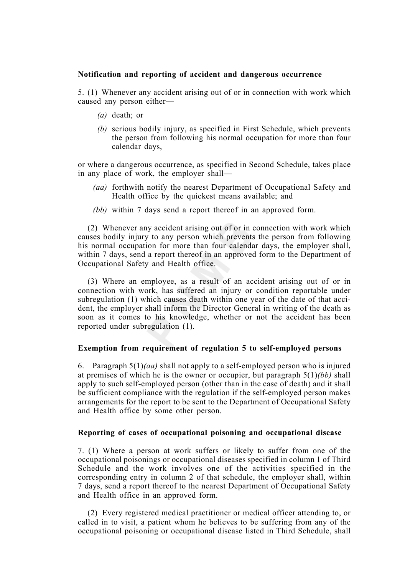## **Notification and reporting of accident and dangerous occurrence**

5. (1) Whenever any accident arising out of or in connection with work which caused any person either—

- *(a)* death; or
- *(b)* serious bodily injury, as specified in First Schedule, which prevents the person from following his normal occupation for more than four calendar days,

or where a dangerous occurrence, as specified in Second Schedule, takes place in any place of work, the employer shall—

- *(aa)* forthwith notify the nearest Department of Occupational Safety and Health office by the quickest means available; and
- *(bb)* within 7 days send a report thereof in an approved form.

(2) Whenever any accident arising out of or in connection with work which causes bodily injury to any person which prevents the person from following his normal occupation for more than four calendar days, the employer shall, within 7 days, send a report thereof in an approved form to the Department of Occupational Safety and Health office.

(3) Where an employee, as a result of an accident arising out of or in connection with work, has suffered an injury or condition reportable under subregulation (1) which causes death within one year of the date of that accident, the employer shall inform the Director General in writing of the death as soon as it comes to his knowledge, whether or not the accident has been reported under subregulation (1).

## **Exemption from requirement of regulation 5 to self-employed persons**

6. Paragraph 5(1)*(aa)* shall not apply to a self-employed person who is injured at premises of which he is the owner or occupier, but paragraph 5(1)*(bb)* shall apply to such self-employed person (other than in the case of death) and it shall be sufficient compliance with the regulation if the self-employed person makes arrangements for the report to be sent to the Department of Occupational Safety and Health office by some other person.

## **Reporting of cases of occupational poisoning and occupational disease**

7. (1) Where a person at work suffers or likely to suffer from one of the occupational poisonings or occupational diseases specified in column 1 of Third Schedule and the work involves one of the activities specified in the corresponding entry in column 2 of that schedule, the employer shall, within 7 days, send a report thereof to the nearest Department of Occupational Safety and Health office in an approved form.

(2) Every registered medical practitioner or medical officer attending to, or called in to visit, a patient whom he believes to be suffering from any of the occupational poisoning or occupational disease listed in Third Schedule, shall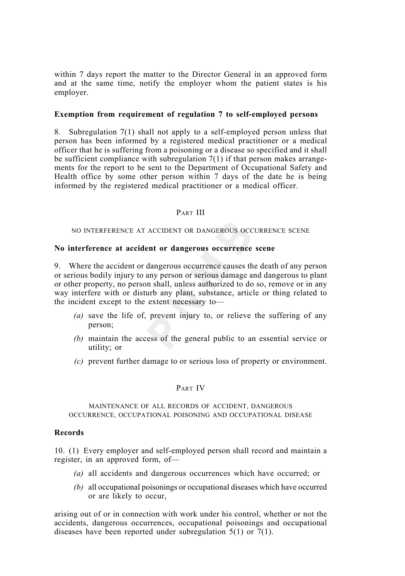within 7 days report the matter to the Director General in an approved form and at the same time, notify the employer whom the patient states is his employer.

## **Exemption from requirement of regulation 7 to self-employed persons**

8. Subregulation 7(1) shall not apply to a self-employed person unless that person has been informed by a registered medical practitioner or a medical officer that he is suffering from a poisoning or a disease so specified and it shall be sufficient compliance with subregulation 7(1) if that person makes arrangements for the report to be sent to the Department of Occupational Safety and Health office by some other person within 7 days of the date he is being informed by the registered medical practitioner or a medical officer.

## PART III

NO INTERFERENCE AT ACCIDENT OR DANGEROUS OCCURRENCE SCENE

## **No interference at accident or dangerous occurrence scene**

9. Where the accident or dangerous occurrence causes the death of any person or serious bodily injury to any person or serious damage and dangerous to plant or other property, no person shall, unless authorized to do so, remove or in any way interfere with or disturb any plant, substance, article or thing related to the incident except to the extent necessary to—

- *(a)* save the life of, prevent injury to, or relieve the suffering of any person;
- *(b)* maintain the access of the general public to an essential service or utility; or
- *(c)* prevent further damage to or serious loss of property or environment.

## PART IV

## MAINTENANCE OF ALL RECORDS OF ACCIDENT, DANGEROUS OCCURRENCE, OCCUPATIONAL POISONING AND OCCUPATIONAL DISEASE

## **Records**

10. (1) Every employer and self-employed person shall record and maintain a register, in an approved form, of—

- *(a)* all accidents and dangerous occurrences which have occurred; or
- *(b)* all occupational poisonings or occupational diseases which have occurred or are likely to occur,

arising out of or in connection with work under his control, whether or not the accidents, dangerous occurrences, occupational poisonings and occupational diseases have been reported under subregulation 5(1) or 7(1).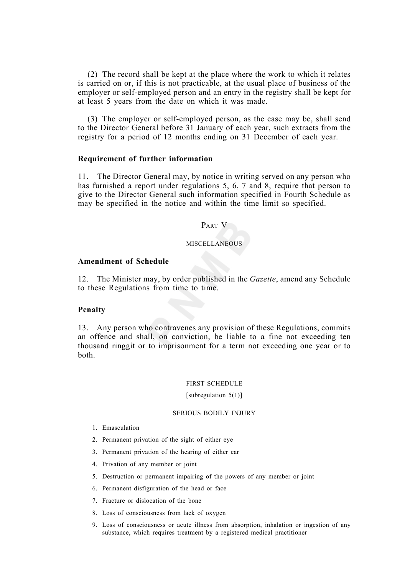(2) The record shall be kept at the place where the work to which it relates is carried on or, if this is not practicable, at the usual place of business of the employer or self-employed person and an entry in the registry shall be kept for at least 5 years from the date on which it was made.

(3) The employer or self-employed person, as the case may be, shall send to the Director General before 31 January of each year, such extracts from the registry for a period of 12 months ending on 31 December of each year.

## **Requirement of further information**

11. The Director General may, by notice in writing served on any person who has furnished a report under regulations 5, 6, 7 and 8, require that person to give to the Director General such information specified in Fourth Schedule as may be specified in the notice and within the time limit so specified.

## PART V

## **MISCELLANEOUS**

## **Amendment of Schedule**

12. The Minister may, by order published in the *Gazette*, amend any Schedule to these Regulations from time to time.

## **Penalty**

13. Any person who contravenes any provision of these Regulations, commits an offence and shall, on conviction, be liable to a fine not exceeding ten thousand ringgit or to imprisonment for a term not exceeding one year or to both.

## FIRST SCHEDULE

#### [subregulation 5(1)]

#### SERIOUS BODILY INJURY

- 1. Emasculation
- 2. Permanent privation of the sight of either eye
- 3. Permanent privation of the hearing of either ear
- 4. Privation of any member or joint
- 5. Destruction or permanent impairing of the powers of any member or joint
- 6. Permanent disfiguration of the head or face
- 7. Fracture or dislocation of the bone
- 8. Loss of consciousness from lack of oxygen
- 9. Loss of consciousness or acute illness from absorption, inhalation or ingestion of any substance, which requires treatment by a registered medical practitioner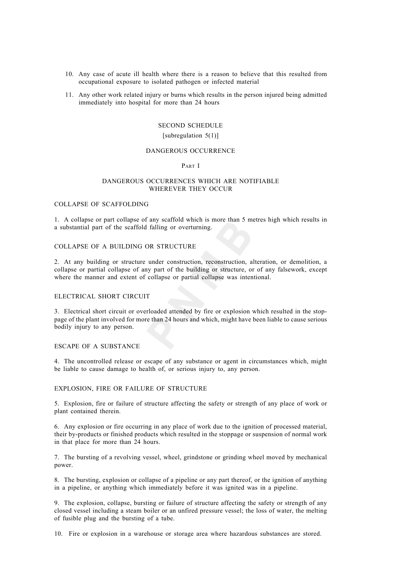- 10. Any case of acute ill health where there is a reason to believe that this resulted from occupational exposure to isolated pathogen or infected material
- 11. Any other work related injury or burns which results in the person injured being admitted immediately into hospital for more than 24 hours

#### SECOND SCHEDULE

#### [subregulation 5(1)]

#### DANGEROUS OCCURRENCE

#### PART I

#### DANGEROUS OCCURRENCES WHICH ARE NOTIFIABLE WHEREVER THEY OCCUR

#### COLLAPSE OF SCAFFOLDING

1. A collapse or part collapse of any scaffold which is more than 5 metres high which results in a substantial part of the scaffold falling or overturning.

#### COLLAPSE OF A BUILDING OR STRUCTURE

2. At any building or structure under construction, reconstruction, alteration, or demolition, a collapse or partial collapse of any part of the building or structure, or of any falsework, except where the manner and extent of collapse or partial collapse was intentional.

## ELECTRICAL SHORT CIRCUIT

3. Electrical short circuit or overloaded attended by fire or explosion which resulted in the stoppage of the plant involved for more than 24 hours and which, might have been liable to cause serious bodily injury to any person.

#### ESCAPE OF A SUBSTANCE

4. The uncontrolled release or escape of any substance or agent in circumstances which, might be liable to cause damage to health of, or serious injury to, any person.

#### EXPLOSION, FIRE OR FAILURE OF STRUCTURE

5. Explosion, fire or failure of structure affecting the safety or strength of any place of work or plant contained therein.

6. Any explosion or fire occurring in any place of work due to the ignition of processed material, their by-products or finished products which resulted in the stoppage or suspension of normal work in that place for more than 24 hours.

7. The bursting of a revolving vessel, wheel, grindstone or grinding wheel moved by mechanical power.

8. The bursting, explosion or collapse of a pipeline or any part thereof, or the ignition of anything in a pipeline, or anything which immediately before it was ignited was in a pipeline.

9. The explosion, collapse, bursting or failure of structure affecting the safety or strength of any closed vessel including a steam boiler or an unfired pressure vessel; the loss of water, the melting of fusible plug and the bursting of a tube.

10. Fire or explosion in a warehouse or storage area where hazardous substances are stored.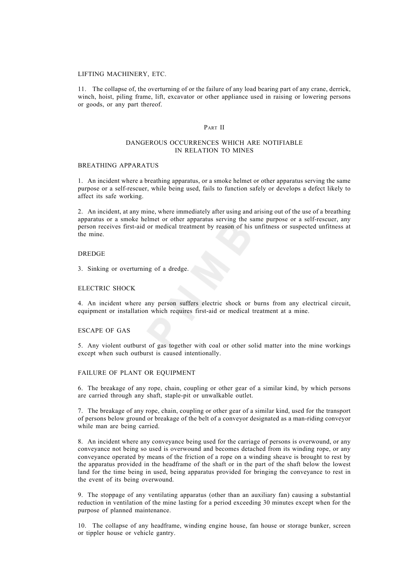#### LIFTING MACHINERY, ETC.

11. The collapse of, the overturning of or the failure of any load bearing part of any crane, derrick, winch, hoist, piling frame, lift, excavator or other appliance used in raising or lowering persons or goods, or any part thereof.

#### PART II

#### DANGEROUS OCCURRENCES WHICH ARE NOTIFIABLE IN RELATION TO MINES

#### BREATHING APPARATUS

1. An incident where a breathing apparatus, or a smoke helmet or other apparatus serving the same purpose or a self-rescuer, while being used, fails to function safely or develops a defect likely to affect its safe working.

2. An incident, at any mine, where immediately after using and arising out of the use of a breathing apparatus or a smoke helmet or other apparatus serving the same purpose or a self-rescuer, any person receives first-aid or medical treatment by reason of his unfitness or suspected unfitness at the mine.

#### DREDGE

3. Sinking or overturning of a dredge.

#### ELECTRIC SHOCK

4. An incident where any person suffers electric shock or burns from any electrical circuit, equipment or installation which requires first-aid or medical treatment at a mine.

#### ESCAPE OF GAS

5. Any violent outburst of gas together with coal or other solid matter into the mine workings except when such outburst is caused intentionally.

#### FAILURE OF PLANT OR EQUIPMENT

6. The breakage of any rope, chain, coupling or other gear of a similar kind, by which persons are carried through any shaft, staple-pit or unwalkable outlet.

7. The breakage of any rope, chain, coupling or other gear of a similar kind, used for the transport of persons below ground or breakage of the belt of a conveyor designated as a man-riding conveyor while man are being carried.

8. An incident where any conveyance being used for the carriage of persons is overwound, or any conveyance not being so used is overwound and becomes detached from its winding rope, or any conveyance operated by means of the friction of a rope on a winding sheave is brought to rest by the apparatus provided in the headframe of the shaft or in the part of the shaft below the lowest land for the time being in used, being apparatus provided for bringing the conveyance to rest in the event of its being overwound.

9. The stoppage of any ventilating apparatus (other than an auxiliary fan) causing a substantial reduction in ventilation of the mine lasting for a period exceeding 30 minutes except when for the purpose of planned maintenance.

10. The collapse of any headframe, winding engine house, fan house or storage bunker, screen or tippler house or vehicle gantry.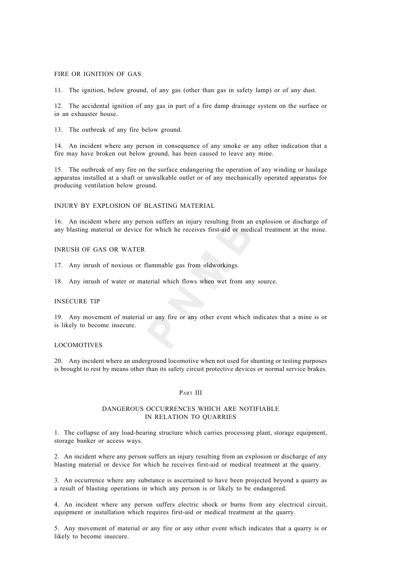#### FIRE OR IGNITION OF GAS

11. The ignition, below ground, of any gas (other than gas in safety lamp) or of any dust.

12. The accidental ignition of any gas in part of a fire damp drainage system on the surface or in an exhauster house.

13. The outbreak of any fire below ground.

14. An incident where any person in consequence of any smoke or any other indication that a fire may have broken out below ground, has been caused to leave any mine.

15. The outbreak of any fire on the surface endangering the operation of any winding or haulage apparatus installed at a shaft or unwalkable outlet or of any mechanically operated apparatus for producing ventilation below ground.

INJURY BY EXPLOSION OF BLASTING MATERIAL

16. An incident where any person suffers an injury resulting from an explosion or discharge of any blasting material or device for which he receives first-aid or medical treatment at the mine.

#### INRUSH OF GAS OR WATER

17. Any inrush of noxious or flammable gas from oldworkings.

18. Any inrush of water or material which flows when wet from any source.

## INSECURE TIP

19. Any movement of material or any fire or any other event which indicates that a mine is or is likely to become insecure.

#### LOCOMOTIVES

20. Any incident where an underground locomotive when not used for shunting or testing purposes is brought to rest by means other than its safety circuit protective devices or normal service brakes.

#### PART III

#### DANGEROUS OCCURRENCES WHICH ARE NOTIFIABLE IN RELATION TO QUARRIES

1. The collapse of any load-bearing structure which carries processing plant, storage equipment, storage bunker or access ways.

2. An incident where any person suffers an injury resulting from an explosion or discharge of any blasting material or device for which he receives first-aid or medical treatment at the quarry.

3. An occurrence where any substance is ascertained to have been projected beyond a quarry as a result of blasting operations in which any person is or likely to be endangered.

4. An incident where any person suffers electric shock or burns from any electrical circuit, equipment or installation which requires first-aid or medical treatment at the quarry.

5. Any movement of material or any fire or any other event which indicates that a quarry is or likely to become insecure.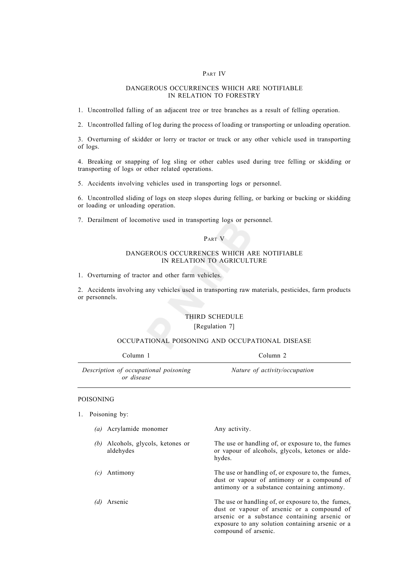#### PART IV

#### DANGEROUS OCCURRENCES WHICH ARE NOTIFIABLE IN RELATION TO FORESTRY

1. Uncontrolled falling of an adjacent tree or tree branches as a result of felling operation.

2. Uncontrolled falling of log during the process of loading or transporting or unloading operation.

3. Overturning of skidder or lorry or tractor or truck or any other vehicle used in transporting of logs.

4. Breaking or snapping of log sling or other cables used during tree felling or skidding or transporting of logs or other related operations.

5. Accidents involving vehicles used in transporting logs or personnel.

6. Uncontrolled sliding of logs on steep slopes during felling, or barking or bucking or skidding or loading or unloading operation.

7. Derailment of locomotive used in transporting logs or personnel.

## PART V

#### DANGEROUS OCCURRENCES WHICH ARE NOTIFIABLE IN RELATION TO AGRICULTURE

1. Overturning of tractor and other farm vehicles.

2. Accidents involving any vehicles used in transporting raw materials, pesticides, farm products or personnels.

## THIRD SCHEDULE

#### [Regulation 7]

## OCCUPATIONAL POISONING AND OCCUPATIONAL DISEASE

| Column 1                                            | Column 2                      |
|-----------------------------------------------------|-------------------------------|
| Description of occupational poisoning<br>or disease | Nature of activity/occupation |

#### POISONING

1. Poisoning by:

|  | (a) Acrylamide monomer | Any activity. |
|--|------------------------|---------------|
|--|------------------------|---------------|

- *(b)* Alcohols, glycols, ketones or The use or handling of, or exposure to, the fumes aldehydes or vapour of alcohols, glycols, ketones or aldehydes.
- 
- 

*(c)* Antimony The use or handling of, or exposure to, the fumes, dust or vapour of antimony or a compound of antimony or a substance containing antimony.

*(d)* Arsenic The use or handling of, or exposure to, the fumes, dust or vapour of arsenic or a compound of arsenic or a substance containing arsenic or exposure to any solution containing arsenic or a compound of arsenic.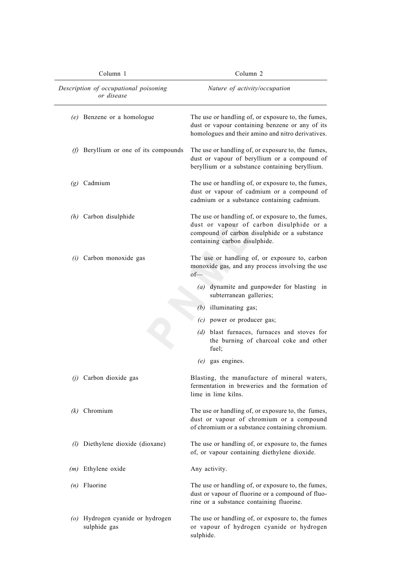| Column 1<br>Description of occupational poisoning<br>or disease |                                                  | Column <sub>2</sub>                                                                                                                                                             |  |
|-----------------------------------------------------------------|--------------------------------------------------|---------------------------------------------------------------------------------------------------------------------------------------------------------------------------------|--|
|                                                                 |                                                  | Nature of activity/occupation                                                                                                                                                   |  |
|                                                                 | (e) Benzene or a homologue                       | The use or handling of, or exposure to, the fumes,<br>dust or vapour containing benzene or any of its<br>homologues and their amino and nitro derivatives.                      |  |
| (f)                                                             | Beryllium or one of its compounds                | The use or handling of, or exposure to, the fumes,<br>dust or vapour of beryllium or a compound of<br>beryllium or a substance containing beryllium.                            |  |
|                                                                 | $(g)$ Cadmium                                    | The use or handling of, or exposure to, the fumes,<br>dust or vapour of cadmium or a compound of<br>cadmium or a substance containing cadmium.                                  |  |
|                                                                 | $(h)$ Carbon disulphide                          | The use or handling of, or exposure to, the fumes,<br>dust or vapour of carbon disulphide or a<br>compound of carbon disulphide or a substance<br>containing carbon disulphide. |  |
|                                                                 | $(i)$ Carbon monoxide gas                        | The use or handling of, or exposure to, carbon<br>monoxide gas, and any process involving the use<br>of                                                                         |  |
|                                                                 |                                                  | (a) dynamite and gunpowder for blasting in<br>subterranean galleries;                                                                                                           |  |
|                                                                 |                                                  | $(b)$ illuminating gas;                                                                                                                                                         |  |
|                                                                 |                                                  | $(c)$ power or producer gas;                                                                                                                                                    |  |
|                                                                 |                                                  | (d) blast furnaces, furnaces and stoves for<br>the burning of charcoal coke and other<br>fuel;                                                                                  |  |
|                                                                 |                                                  | $(e)$ gas engines.                                                                                                                                                              |  |
|                                                                 | $(j)$ Carbon dioxide gas                         | Blasting, the manufacture of mineral waters,<br>fermentation in breweries and the formation of<br>lime in lime kilns.                                                           |  |
|                                                                 | $(k)$ Chromium                                   | The use or handling of, or exposure to, the fumes,<br>dust or vapour of chromium or a compound<br>of chromium or a substance containing chromium.                               |  |
|                                                                 | (1) Diethylene dioxide (dioxane)                 | The use or handling of, or exposure to, the fumes<br>of, or vapour containing diethylene dioxide.                                                                               |  |
| (m)                                                             | Ethylene oxide                                   | Any activity.                                                                                                                                                                   |  |
|                                                                 | $(n)$ Fluorine                                   | The use or handling of, or exposure to, the fumes,<br>dust or vapour of fluorine or a compound of fluo-<br>rine or a substance containing fluorine.                             |  |
|                                                                 | (o) Hydrogen cyanide or hydrogen<br>sulphide gas | The use or handling of, or exposure to, the fumes<br>or vapour of hydrogen cyanide or hydrogen<br>sulphide.                                                                     |  |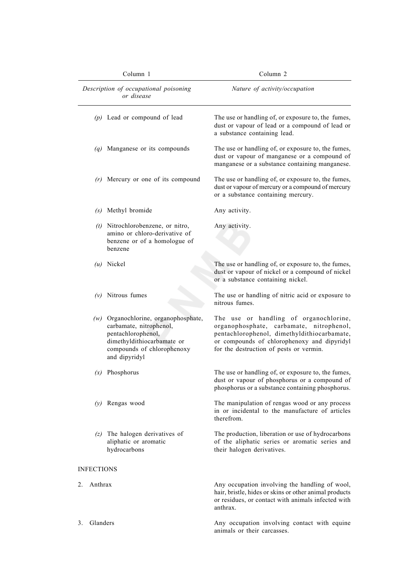|    | Column 1<br>Description of occupational poisoning<br>or disease |                                                                                                                                                                    | Column <sub>2</sub>                                                                                                                                                                                                         |  |
|----|-----------------------------------------------------------------|--------------------------------------------------------------------------------------------------------------------------------------------------------------------|-----------------------------------------------------------------------------------------------------------------------------------------------------------------------------------------------------------------------------|--|
|    |                                                                 |                                                                                                                                                                    | Nature of activity/occupation                                                                                                                                                                                               |  |
|    |                                                                 | $(p)$ Lead or compound of lead                                                                                                                                     | The use or handling of, or exposure to, the fumes,<br>dust or vapour of lead or a compound of lead or<br>a substance containing lead.                                                                                       |  |
|    |                                                                 | $(q)$ Manganese or its compounds                                                                                                                                   | The use or handling of, or exposure to, the fumes,<br>dust or vapour of manganese or a compound of<br>manganese or a substance containing manganese.                                                                        |  |
|    |                                                                 | $(r)$ Mercury or one of its compound                                                                                                                               | The use or handling of, or exposure to, the fumes,<br>dust or vapour of mercury or a compound of mercury<br>or a substance containing mercury.                                                                              |  |
|    |                                                                 | (s) Methyl bromide                                                                                                                                                 | Any activity.                                                                                                                                                                                                               |  |
|    |                                                                 | $(t)$ Nitrochlorobenzene, or nitro,<br>amino or chloro-derivative of<br>benzene or of a homologue of<br>benzene                                                    | Any activity.                                                                                                                                                                                                               |  |
|    |                                                                 | $(u)$ Nickel                                                                                                                                                       | The use or handling of, or exposure to, the fumes,<br>dust or vapour of nickel or a compound of nickel<br>or a substance containing nickel.                                                                                 |  |
|    |                                                                 | $(v)$ Nitrous fumes                                                                                                                                                | The use or handling of nitric acid or exposure to<br>nitrous fumes.                                                                                                                                                         |  |
|    |                                                                 | (w) Organochlorine, organophosphate,<br>carbamate, nitrophenol,<br>pentachlorophenol,<br>dimethyldithiocarbamate or<br>compounds of chlorophenoxy<br>and dipyridyl | The use or handling of organochlorine,<br>organophosphate, carbamate, nitrophenol,<br>pentachlorophenol, dimethyldithiocarbamate,<br>or compounds of chlorophenoxy and dipyridyl<br>for the destruction of pests or vermin. |  |
|    |                                                                 | $(x)$ Phosphorus                                                                                                                                                   | The use or handling of, or exposure to, the fumes,<br>dust or vapour of phosphorus or a compound of<br>phosphorus or a substance containing phosphorus.                                                                     |  |
|    |                                                                 | $(y)$ Rengas wood                                                                                                                                                  | The manipulation of rengas wood or any process<br>in or incidental to the manufacture of articles<br>therefrom.                                                                                                             |  |
|    |                                                                 | $(z)$ The halogen derivatives of<br>aliphatic or aromatic<br>hydrocarbons                                                                                          | The production, liberation or use of hydrocarbons<br>of the aliphatic series or aromatic series and<br>their halogen derivatives.                                                                                           |  |
|    | <b>INFECTIONS</b>                                               |                                                                                                                                                                    |                                                                                                                                                                                                                             |  |
| 2. | Anthrax                                                         |                                                                                                                                                                    | Any occupation involving the handling of wool,<br>hair, bristle, hides or skins or other animal products<br>or residues, or contact with animals infected with<br>anthrax.                                                  |  |
| 3. | Glanders                                                        |                                                                                                                                                                    | Any occupation involving contact with equine<br>animals or their carcasses.                                                                                                                                                 |  |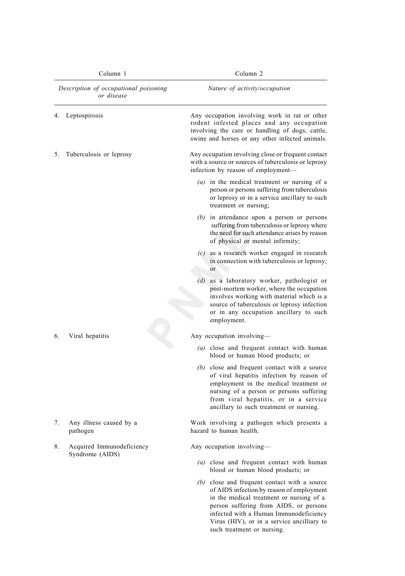| Column 1 |                                                     | Column <sub>2</sub>                                                                                                                                                                                                                                                 |  |
|----------|-----------------------------------------------------|---------------------------------------------------------------------------------------------------------------------------------------------------------------------------------------------------------------------------------------------------------------------|--|
|          | Description of occupational poisoning<br>or disease | Nature of activity/occupation                                                                                                                                                                                                                                       |  |
| 4.       | Leptospirosis                                       | Any occupation involving work in rat or other<br>rodent infested places and any occupation<br>involving the care or handling of dogs, cattle,<br>swine and horses or any other infected animals.                                                                    |  |
| 5.       | Tuberculosis or leprosy                             | Any occupation involving close or frequent contact<br>with a source or sources of tuberculosis or leprosy<br>infection by reason of employment-                                                                                                                     |  |
|          |                                                     | $(a)$ in the medical treatment or nursing of a<br>person or persons suffering from tuberculosis<br>or leprosy or in a service ancillary to such<br>treatment or nursing;                                                                                            |  |
|          |                                                     | $(b)$ in attendance upon a person or persons<br>suffering from tuberculosis or leprosy where<br>the need for such attendance arises by reason<br>of physical or mental infirmity;                                                                                   |  |
|          |                                                     | $(c)$ as a research worker engaged in research<br>in connection with tuberculosis or leprosy;<br>or                                                                                                                                                                 |  |
|          |                                                     | (d) as a laboratory worker, pathologist or<br>post-mortem worker, where the occupation<br>involves working with material which is a<br>source of tuberculosis or leprosy infection<br>or in any occupation ancillary to such<br>employment.                         |  |
| 6.       | Viral hepatitis                                     | Any occupation involving—                                                                                                                                                                                                                                           |  |
|          |                                                     | (a) close and frequent contact with human<br>blood or human blood products; or                                                                                                                                                                                      |  |
|          |                                                     | (b) close and frequent contact with a source<br>of viral hepatitis infection by reason of<br>employment in the medical treatment or<br>nursing of a person or persons suffering<br>from viral hepatitis, or in a service<br>ancillary to such treatment or nursing. |  |
| 7.       | Any illness caused by a<br>pathogen                 | Work involving a pathogen which presents a<br>hazard to human health.                                                                                                                                                                                               |  |
| 8.       | Acquired Immunodeficiency                           | Any occupation involving-                                                                                                                                                                                                                                           |  |
|          | Syndrome (AIDS)                                     | (a) close and frequent contact with human<br>blood or human blood products; or                                                                                                                                                                                      |  |
|          |                                                     | (b) close and frequent contact with a source<br>of AIDS infection by reason of employment<br>in the medical treatment or nursing of a<br>person suffering from AIDS, or persons<br>infected with a Human Immunodeficiency                                           |  |

Virus (HIV), or in a service ancilliary to

such treatment or nursing.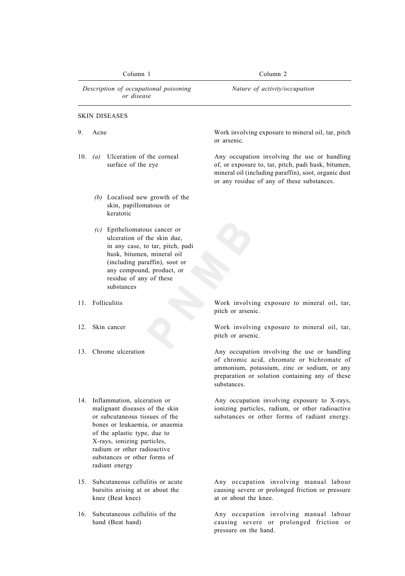| Column 1                                            |      |                                                                                                                                                                                                                                                                                       | Column 2                                                                                                                                                                                                    |  |
|-----------------------------------------------------|------|---------------------------------------------------------------------------------------------------------------------------------------------------------------------------------------------------------------------------------------------------------------------------------------|-------------------------------------------------------------------------------------------------------------------------------------------------------------------------------------------------------------|--|
| Description of occupational poisoning<br>or disease |      |                                                                                                                                                                                                                                                                                       | Nature of activity/occupation                                                                                                                                                                               |  |
|                                                     |      | <b>SKIN DISEASES</b>                                                                                                                                                                                                                                                                  |                                                                                                                                                                                                             |  |
| 9.                                                  | Acne |                                                                                                                                                                                                                                                                                       | Work involving exposure to mineral oil, tar, pitch<br>or arsenic.                                                                                                                                           |  |
| 10.                                                 | (a)  | Ulceration of the corneal<br>surface of the eye                                                                                                                                                                                                                                       | Any occupation involving the use or handling<br>of, or exposure to, tar, pitch, padi husk, bitumen,<br>mineral oil (including paraffin), soot, organic dust<br>or any residue of any of these substances.   |  |
|                                                     |      | (b) Localised new growth of the<br>skin, papillomatous or<br>keratotic                                                                                                                                                                                                                |                                                                                                                                                                                                             |  |
|                                                     |      | $(c)$ Epitheliomatous cancer or<br>ulceration of the skin due.<br>in any case, to tar, pitch, padi<br>husk, bitumen, mineral oil<br>(including paraffin), soot or<br>any compound, product, or<br>residue of any of these<br>substances                                               |                                                                                                                                                                                                             |  |
|                                                     |      | 11. Folliculitis                                                                                                                                                                                                                                                                      | Work involving exposure to mineral oil, tar,<br>pitch or arsenic.                                                                                                                                           |  |
| 12.                                                 |      | Skin cancer                                                                                                                                                                                                                                                                           | Work involving exposure to mineral oil, tar,<br>pitch or arsenic.                                                                                                                                           |  |
| 13.                                                 |      | Chrome ulceration                                                                                                                                                                                                                                                                     | Any occupation involving the use or handling<br>of chromic acid, chromate or bichromate of<br>ammonium, potassium, zinc or sodium, or any<br>preparation or solution containing any of these<br>substances. |  |
|                                                     |      | 14. Inflammation, ulceration or<br>malignant diseases of the skin<br>or subcutaneous tissues of the<br>bones or leukaemia, or anaemia<br>of the aplastic type, due to<br>X-rays, ionizing particles,<br>radium or other radioactive<br>substances or other forms of<br>radiant energy | Any occupation involving exposure to X-rays,<br>ionizing particles, radium, or other radioactive<br>substances or other forms of radiant energy.                                                            |  |
| 15.                                                 |      | Subcutaneous cellulitis or acute<br>bursitis arising at or about the<br>knee (Beat knee)                                                                                                                                                                                              | Any occupation involving manual labour<br>causing severe or prolonged friction or pressure<br>at or about the knee.                                                                                         |  |

16. Subcutaneous cellulitis of the Any occupation involving manual labour hand (Beat hand) causing severe or prolonged friction or pressure on the hand.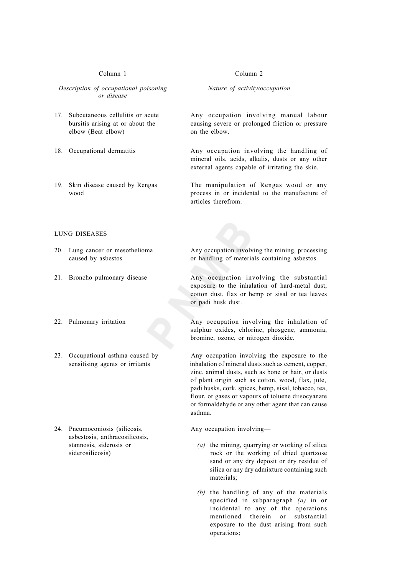| Column 1   |                                                                                            | Column 2                                                                                                                                                                                                                                                                                                                                                                                     |  |
|------------|--------------------------------------------------------------------------------------------|----------------------------------------------------------------------------------------------------------------------------------------------------------------------------------------------------------------------------------------------------------------------------------------------------------------------------------------------------------------------------------------------|--|
|            | Description of occupational poisoning<br>or disease                                        | Nature of activity/occupation                                                                                                                                                                                                                                                                                                                                                                |  |
| 17.        | Subcutaneous cellulitis or acute<br>bursitis arising at or about the<br>elbow (Beat elbow) | Any occupation involving manual labour<br>causing severe or prolonged friction or pressure<br>on the elbow.                                                                                                                                                                                                                                                                                  |  |
| 18.        | Occupational dermatitis                                                                    | Any occupation involving the handling of<br>mineral oils, acids, alkalis, dusts or any other<br>external agents capable of irritating the skin.                                                                                                                                                                                                                                              |  |
| 19.        | Skin disease caused by Rengas<br>wood                                                      | The manipulation of Rengas wood or any<br>process in or incidental to the manufacture of<br>articles therefrom.                                                                                                                                                                                                                                                                              |  |
|            | LUNG DISEASES                                                                              |                                                                                                                                                                                                                                                                                                                                                                                              |  |
| <b>20.</b> | Lung cancer or mesothelioma<br>caused by asbestos                                          | Any occupation involving the mining, processing<br>or handling of materials containing asbestos.                                                                                                                                                                                                                                                                                             |  |
| 21.        | Broncho pulmonary disease                                                                  | Any occupation involving the substantial<br>exposure to the inhalation of hard-metal dust,<br>cotton dust, flax or hemp or sisal or tea leaves<br>or padi husk dust.                                                                                                                                                                                                                         |  |
| 22.        | Pulmonary irritation                                                                       | Any occupation involving the inhalation of<br>sulphur oxides, chlorine, phosgene, ammonia,<br>bromine, ozone, or nitrogen dioxide.                                                                                                                                                                                                                                                           |  |
| 23.        | Occupational asthma caused by<br>sensitising agents or irritants                           | Any occupation involving the exposure to the<br>inhalation of mineral dusts such as cement, copper,<br>zinc, animal dusts, such as bone or hair, or dusts<br>of plant origin such as cotton, wood, flax, jute,<br>padi husks, cork, spices, hemp, sisal, tobacco, tea,<br>flour, or gases or vapours of toluene diisocyanate<br>or formaldehyde or any other agent that can cause<br>asthma. |  |
|            | 24. Pneumoconiosis (silicosis,<br>asbestosis, anthracosilicosis,                           | Any occupation involving-                                                                                                                                                                                                                                                                                                                                                                    |  |
|            | stannosis, siderosis or<br>siderosilicosis)                                                | $(a)$ the mining, quarrying or working of silica<br>rock or the working of dried quartzose<br>sand or any dry deposit or dry residue of<br>silica or any dry admixture containing such<br>materials;                                                                                                                                                                                         |  |
|            |                                                                                            | $(b)$ the handling of any of the materials<br>specified in subparagraph $(a)$ in or                                                                                                                                                                                                                                                                                                          |  |

incidental to any of the operations mentioned therein or substantial exposure to the dust arising from such

operations;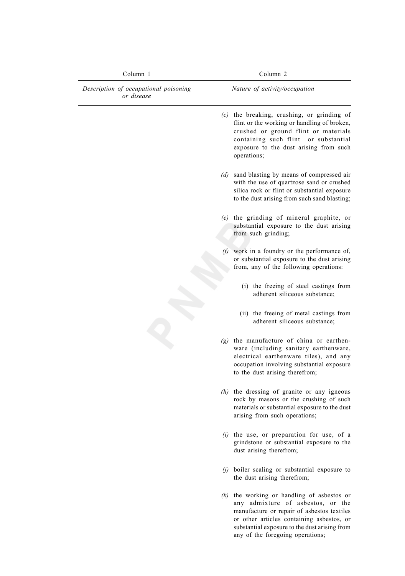| Column 1                                            | Column 2                                                                                                                                                                                                                                                          |  |
|-----------------------------------------------------|-------------------------------------------------------------------------------------------------------------------------------------------------------------------------------------------------------------------------------------------------------------------|--|
| Description of occupational poisoning<br>or disease | Nature of activity/occupation                                                                                                                                                                                                                                     |  |
|                                                     | $(c)$ the breaking, crushing, or grinding of<br>flint or the working or handling of broken,<br>crushed or ground flint or materials<br>containing such flint or substantial<br>exposure to the dust arising from such<br>operations;                              |  |
|                                                     | (d) sand blasting by means of compressed air<br>with the use of quartzose sand or crushed<br>silica rock or flint or substantial exposure<br>to the dust arising from such sand blasting;                                                                         |  |
|                                                     | (e) the grinding of mineral graphite, or<br>substantial exposure to the dust arising<br>from such grinding;                                                                                                                                                       |  |
|                                                     | $(f)$ work in a foundry or the performance of,<br>or substantial exposure to the dust arising<br>from, any of the following operations:                                                                                                                           |  |
|                                                     | (i) the freeing of steel castings from<br>adherent siliceous substance;                                                                                                                                                                                           |  |
|                                                     | (ii) the freeing of metal castings from<br>adherent siliceous substance;                                                                                                                                                                                          |  |
|                                                     | $(g)$ the manufacture of china or earthen-<br>ware (including sanitary earthenware,<br>electrical earthenware tiles), and any<br>occupation involving substantial exposure<br>to the dust arising therefrom;                                                      |  |
|                                                     | $(h)$ the dressing of granite or any igneous<br>rock by masons or the crushing of such<br>materials or substantial exposure to the dust<br>arising from such operations;                                                                                          |  |
|                                                     | $(i)$ the use, or preparation for use, of a<br>grindstone or substantial exposure to the<br>dust arising therefrom;                                                                                                                                               |  |
|                                                     | $(j)$ boiler scaling or substantial exposure to<br>the dust arising therefrom;                                                                                                                                                                                    |  |
|                                                     | $(k)$ the working or handling of asbestos or<br>any admixture of asbestos, or the<br>manufacture or repair of asbestos textiles<br>or other articles containing asbestos, or<br>substantial exposure to the dust arising from<br>any of the foregoing operations; |  |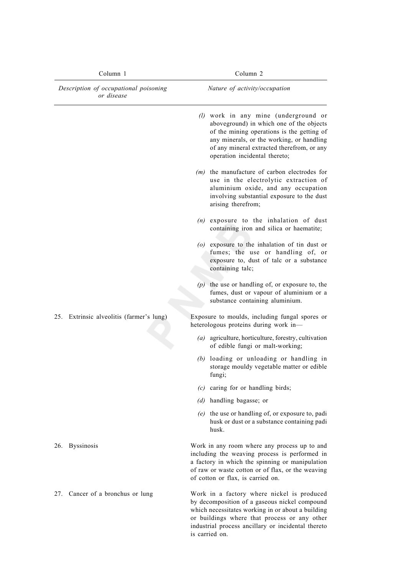| Column 1<br>Description of occupational poisoning<br>or disease |                                      | Column <sub>2</sub>                                                                                                                                                                                                                                        |  |
|-----------------------------------------------------------------|--------------------------------------|------------------------------------------------------------------------------------------------------------------------------------------------------------------------------------------------------------------------------------------------------------|--|
|                                                                 |                                      | Nature of activity/occupation                                                                                                                                                                                                                              |  |
|                                                                 |                                      | (l) work in any mine (underground or<br>aboveground) in which one of the objects<br>of the mining operations is the getting of<br>any minerals, or the working, or handling<br>of any mineral extracted therefrom, or any<br>operation incidental thereto; |  |
|                                                                 |                                      | $(m)$ the manufacture of carbon electrodes for<br>use in the electrolytic extraction of<br>aluminium oxide, and any occupation<br>involving substantial exposure to the dust<br>arising therefrom;                                                         |  |
|                                                                 |                                      | $(n)$ exposure to the inhalation of dust<br>containing iron and silica or haematite;                                                                                                                                                                       |  |
|                                                                 |                                      | $(o)$ exposure to the inhalation of tin dust or<br>fumes; the use or handling of, or<br>exposure to, dust of talc or a substance<br>containing talc;                                                                                                       |  |
|                                                                 |                                      | $(p)$ the use or handling of, or exposure to, the<br>fumes, dust or vapour of aluminium or a<br>substance containing aluminium.                                                                                                                            |  |
| 25.                                                             | Extrinsic alveolitis (farmer's lung) | Exposure to moulds, including fungal spores or<br>heterologous proteins during work in-                                                                                                                                                                    |  |
|                                                                 |                                      | $(a)$ agriculture, horticulture, forestry, cultivation<br>of edible fungi or malt-working;                                                                                                                                                                 |  |
|                                                                 |                                      | $(b)$ loading or unloading or handling in<br>storage mouldy vegetable matter or edible<br>fungi;                                                                                                                                                           |  |
|                                                                 |                                      | $(c)$ caring for or handling birds;                                                                                                                                                                                                                        |  |
|                                                                 |                                      | (d) handling bagasse; or                                                                                                                                                                                                                                   |  |
|                                                                 |                                      | $(e)$ the use or handling of, or exposure to, padi<br>husk or dust or a substance containing padi<br>husk.                                                                                                                                                 |  |
| 26.                                                             | <b>Byssinosis</b>                    | Work in any room where any process up to and<br>including the weaving process is performed in<br>a factory in which the spinning or manipulation<br>of raw or waste cotton or of flax, or the weaving<br>of cotton or flax, is carried on.                 |  |
| 27.                                                             | Cancer of a bronchus or lung         | Work in a factory where nickel is produced<br>by decomposition of a gaseous nickel compound<br>which necessitates working in or about a building<br>or buildings where that process or any other<br>industrial process ancillary or incidental thereto     |  |

is carried on.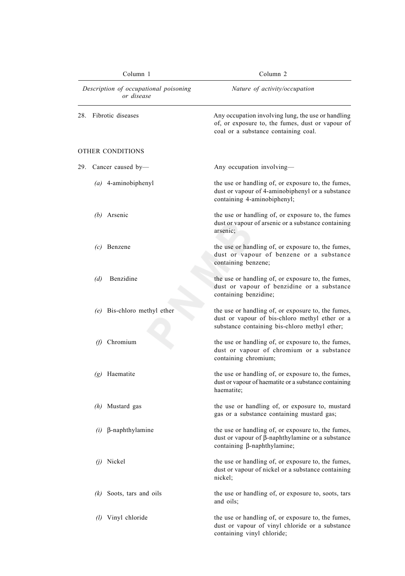| Column 1                                            | Column <sub>2</sub><br>Nature of activity/occupation                                                                                                  |  |
|-----------------------------------------------------|-------------------------------------------------------------------------------------------------------------------------------------------------------|--|
| Description of occupational poisoning<br>or disease |                                                                                                                                                       |  |
| Fibrotic diseases<br>28.                            | Any occupation involving lung, the use or handling<br>of, or exposure to, the fumes, dust or vapour of<br>coal or a substance containing coal.        |  |
| OTHER CONDITIONS                                    |                                                                                                                                                       |  |
| 29.<br>Cancer caused by-                            | Any occupation involving-                                                                                                                             |  |
| $(a)$ 4-aminobiphenyl                               | the use or handling of, or exposure to, the fumes,<br>dust or vapour of 4-aminobiphenyl or a substance<br>containing 4-aminobiphenyl;                 |  |
| $(b)$ Arsenic                                       | the use or handling of, or exposure to, the fumes<br>dust or vapour of arsenic or a substance containing<br>arsenic;                                  |  |
| Benzene<br>(c)                                      | the use or handling of, or exposure to, the fumes,<br>dust or vapour of benzene or a substance<br>containing benzene;                                 |  |
| Benzidine<br>(d)                                    | the use or handling of, or exposure to, the fumes,<br>dust or vapour of benzidine or a substance<br>containing benzidine;                             |  |
| (e) Bis-chloro methyl ether                         | the use or handling of, or exposure to, the fumes,<br>dust or vapour of bis-chloro methyl ether or a<br>substance containing bis-chloro methyl ether; |  |
| Chromium<br>(f)                                     | the use or handling of, or exposure to, the fumes,<br>dust or vapour of chromium or a substance<br>containing chromium;                               |  |
| Haematite<br>(g)                                    | the use or handling of, or exposure to, the fumes,<br>dust or vapour of haematite or a substance containing<br>haematite;                             |  |
| (h) Mustard gas                                     | the use or handling of, or exposure to, mustard<br>gas or a substance containing mustard gas;                                                         |  |
| $\beta$ -naphthylamine<br>(i)                       | the use or handling of, or exposure to, the fumes,<br>dust or vapour of $\beta$ -naphthylamine or a substance<br>containing $\beta$ -naphthylamine;   |  |
| $(i)$ Nickel                                        | the use or handling of, or exposure to, the fumes,<br>dust or vapour of nickel or a substance containing<br>nickel;                                   |  |
| $(k)$ Soots, tars and oils                          | the use or handling of, or exposure to, soots, tars<br>and oils;                                                                                      |  |
| Vinyl chloride<br>(1)                               | the use or handling of, or exposure to, the fumes,<br>dust or vapour of vinyl chloride or a substance<br>containing vinyl chloride;                   |  |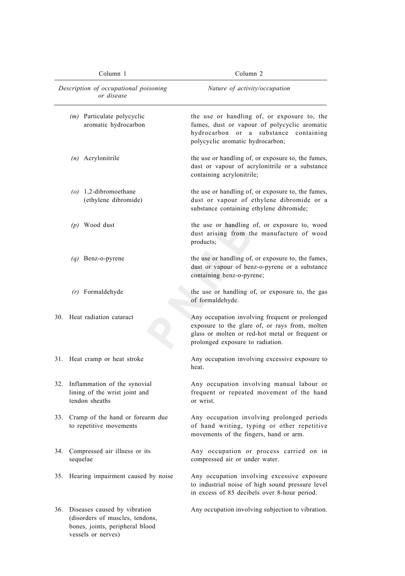| Column 1<br>Description of occupational poisoning<br>or disease |                                                                                                                              | Column <sub>2</sub><br>Nature of activity/occupation                                                                                                                                    |  |
|-----------------------------------------------------------------|------------------------------------------------------------------------------------------------------------------------------|-----------------------------------------------------------------------------------------------------------------------------------------------------------------------------------------|--|
|                                                                 |                                                                                                                              |                                                                                                                                                                                         |  |
|                                                                 | $(n)$ Acrylonitrile                                                                                                          | the use or handling of, or exposure to, the fumes,<br>dust or vapour of acrylonitrile or a substance<br>containing acrylonitrile;                                                       |  |
|                                                                 | $(o)$ 1,2-dibromoethane<br>(ethylene dibromide)                                                                              | the use or handling of, or exposure to, the fumes,<br>dust or vapour of ethylene dibromide or a<br>substance containing ethylene dibromide;                                             |  |
|                                                                 | $(p)$ Wood dust                                                                                                              | the use or handling of, or exposure to, wood<br>dust arising from the manufacture of wood<br>products;                                                                                  |  |
|                                                                 | $(q)$ Benz-o-pyrene                                                                                                          | the use or handling of, or exposure to, the fumes,<br>dust or vapour of benz-o-pyrene or a substance<br>containing benz-o-pyrene;                                                       |  |
|                                                                 | $(r)$ Formaldehyde                                                                                                           | the use or handling of, or exposure to, the gas<br>of formaldehyde.                                                                                                                     |  |
|                                                                 | 30. Heat radiation cataract                                                                                                  | Any occupation involving frequent or prolonged<br>exposure to the glare of, or rays from, molten<br>glass or molten or red-hot metal or frequent or<br>prolonged exposure to radiation. |  |
| 31.                                                             | Heat cramp or heat stroke                                                                                                    | Any occupation involving excessive exposure to<br>heat.                                                                                                                                 |  |
| 32.                                                             | Inflammation of the synovial<br>lining of the wrist joint and<br>tendon sheaths                                              | Any occupation involving manual labour or<br>frequent or repeated movement of the hand<br>or wrist.                                                                                     |  |
| 33.                                                             | Cramp of the hand or forearm due<br>to repetitive movements                                                                  | Any occupation involving prolonged periods<br>of hand writing, typing or other repetitive<br>movements of the fingers, hand or arm.                                                     |  |
| 34.                                                             | Compressed air illness or its<br>sequelae                                                                                    | Any occupation or process carried on in<br>compressed air or under water.                                                                                                               |  |
| 35.                                                             | Hearing impairment caused by noise                                                                                           | Any occupation involving excessive exposure<br>to industrial noise of high sound pressure level<br>in excess of 85 decibels over 8-hour period.                                         |  |
|                                                                 | 36. Diseases caused by vibration<br>(disorders of muscles, tendons,<br>bones, joints, peripheral blood<br>vessels or nerves) | Any occupation involving subjection to vibration.                                                                                                                                       |  |